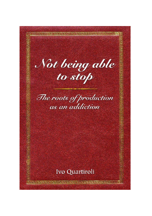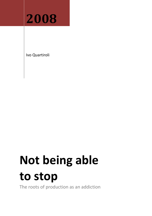

Ivo Quartiroli

# **Not being able to stop**

The roots of production as an addiction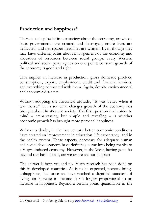# **Production and happiness?**

There is a deep belief in our society about the economy, on whose basis governments are created and destroyed, entire lives are dedicated, and newspaper headlines are written. Even though they may have differing ideas about management of the economy and allocation of resources between social groups, every Western political and social party agrees on one point: constant growth of the economy is good and right.

This implies an increase in production, gross domestic product, consumption, export, employment, credit and financial services, and everything connected with them. Again, despite environmental and economic disasters.

Without adopting the rhetorical attitude, "It was better when it was worse," let us see what changes growth of the economy has brought about in Western society. The first question that comes to mind – embarrassing, but simple and revealing – is whether economic growth has brought more personal happiness.

Without a doubt, in the last century better economic conditions have created an improvement in education, life expectancy, and in the health system. These aspects, necessary for adequate human and social development, have definitely come into being thanks to a Viagra-induced economy. However, in the West, having gone far beyond our basic needs, are we or are we not happier?

The answer is both yes and no. Much research has been done on this in developed countries. As is to be expected, poverty brings unhappiness, but once we have reached a dignified standard of living, an increase in income is no longer proportional to an increase in happiness. Beyond a certain point, quantifiable in the

Ivo Quartiroli – Not being able to stop *www.innernet.it* - *www.indranet.org* 1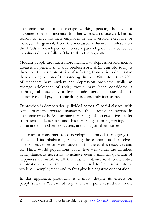economic means of an average working person, the level of happiness does not increase. In other words, an office clerk has no reason to envy his rich employer or an overpaid executive or manager. In general, from the increased affluence manifest after the 1950s in developed countries, a parallel growth in collective happiness did not follow. The truth is the opposite.

Modern people are much more inclined to depression and mental diseases in general than our predecessors. A 25-year-old today is three to 10 times more at risk of suffering from serious depression than a young person of the same age in the 1950s. More than 20% of teenagers have anxiety and depression problems, while an average adolescent of today would have been considered a pathological case only a few decades ago. The use of antidepressives and psychotropic drugs is constantly increasing.

Depression is democratically divided across all social classes, with some partiality toward managers, the leading characters in economic growth. An alarming percentage of top executives suffer from serious depression and this percentage is only growing. The commanders-in-chief, exhausted, are falling off their horses.<sup>1</sup>

The current consumer-based development model is ravaging the planet and its inhabitants, including the economists themselves. The consequences of overproduction for the earth's resources and for Third World populations which live well under the dignified living standards necessary to achieve even a minimal quantum of happiness are visible to all. On this, it is absurd to dub the entire automation mechanism which was devised to be a substitute to work as unemployment and to thus give it a negative connotation.

In this approach, producing is a must, despite its effects on people's health. We cannot stop, and it is equally absurd that in the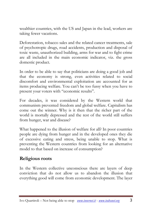wealthier countries, with the US and Japan in the lead, workers are taking fewer vacations.

Deforestation, tobacco sales and the related cancer treatments, sale of psychotropic drugs, road accidents, production and disposal of toxic waste, unauthorized building, arms for war and to fight crime are all included in the main economic indicator, viz. the gross domestic product.

In order to be able to say that politicians are doing a good job and that the economy is strong, even activities related to social discomfort and environmental exploitation are accounted for as items producing welfare. You can't be too fussy when you have to present your voters with "economic results".

For decades, it was considered by the Western world that communism prevented freedom and global welfare. Capitalism has come out the winner. Why is it then that the richer part of the world is mortally depressed and the rest of the world still suffers from hunger, war and disease?

What happened to the illusion of welfare for all? In poor countries people are dying from hunger and in the developed ones they die of excessive eating and stress, being unable to stop. What is preventing the Western countries from looking for an alternative model to that based on increase of consumption?

## **Religious roots**

In the Western collective unconscious there are layers of deep conviction that do not allow us to abandon the illusion that everything good will come from economic development. The layer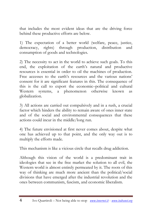that includes the most evident ideas that are the driving force behind these productive efforts are below.

1) The expectation of a better world (welfare, peace, justice, democracy, rights) through production, distribution and consumption of goods and technologies.

2) The necessity to act in the world to achieve such goals. To this end, the exploitation of the earth's natural and productive resources is essential in order to oil the machines of production. Free accesses to the earth's resources and the various nations' consent for it are significant features in this. The consequence of this is the call to export the economic–political and cultural Western systems, a phenomenon otherwise known as globalization.

3) All actions are carried out compulsively and in a rush, a crucial factor which hinders the ability to remain aware of ones inner state and of the social and environmental consequences that these actions could incur in the middle/long run.

4) The future envisioned at first never comes about, despite what one has achieved up to that point, and the only way out is to multiply the efforts made.

This mechanism is like a vicious circle that recalls drug addiction.

Although this vision of the world is a predominant trait in ideologies that see in the free market the solution to all evil, the Western world is almost entirely permeated by it. The roots of this way of thinking are much more ancient than the political/social divisions that have emerged after the industrial revolution and the ones between communism, fascism, and economic liberalism.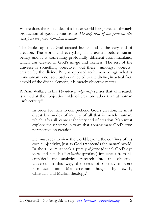Where does the initial idea of a better world being created through production of goods come from? *The deep roots of this germinal idea come from the Judeo–Christian tradition.*

The Bible says that God created humankind at the very end of creation. The world and everything in it existed before human beings and it is something profoundly different from mankind, which was created in God's image and likeness. The rest of the universe is something objective, "out there," amongst "objects" created by the divine. But, as opposed to human beings, what is non-human is not so closely connected to the divine; in actual fact, devoid of the divine element, it is merely objective matter.

B. Alan Wallace in his *The taboo of subjectivity* senses that all research is aimed at the "objective" side of creation rather than at human "subjectivity."

> In order for man to comprehend God's creation, he must divest his modes of inquiry of all that is merely human, which, after all, came at the very end of creation. Man must explore the universe in ways that approximate God's own perspective on creation.

> He must seek to view the world beyond the confines of his own subjectivity, just as God transcends the natural world. In short, he must seek a purely *objective* (divine) God's-eye view and banish all *subjective* (profane) influences from his empirical and analytical research into the objective universe. In this way, the seeds of objectivism were introduced into Mediterranean thought by Jewish, Christian, and Muslim theology.<sup>2</sup>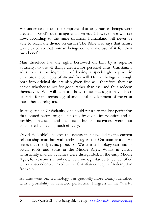We understand from the scriptures that only human beings were created in God's own image and likeness. (However, we will see how, according to the same tradition, humankind will never be able to reach the divine on earth.) The Bible also says that nature was created so that human beings could make use of it for their own benefit.

Man therefore has the right, bestowed on him by a superior authority, to use all things created for personal aims. Christianity adds to this the ingredient of having a special given place in creation, the concepts of sin and free will. Human beings, although born into original sin, are also given free will; therefore, they can decide whether to act for good rather than evil and thus redeem themselves. We will explore how these messages have been essential for the technological and social development of the great monotheistic religions.

In Augustinian Christianity, one could return to the lost perfection that existed before original sin only by divine intervention and all earthly, practical, and technical human activities were not considered as having much efficacy.

David F. Noble<sup>3</sup> analyzes the events that have led to the current relationship man has with technology in the Christian world. He states that the dynamic project of Western technology can find its actual roots and spirit in the Middle Ages. Whilst in classic Christianity manual activities were disregarded, in the early Middle Ages, for reasons still unknown, technology started to be identified with transcendence, linked to the Christian concept of redemption from sin.

As time went on, technology was gradually more clearly identified with a possibility of renewed perfection. Progress in the "useful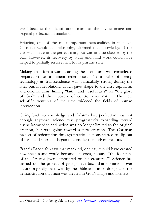arts" became the identification mark of the divine image and original perfection in mankind.

Eriugina, one of the most important personalities in medieval Christian Scholastic philosophy, affirmed that knowledge of the arts was innate in the perfect man, but was in time clouded by the Fall. However, its recovery by study and hard work could have helped to partially restore man to his pristine state.

Making an effort toward learning the useful arts was considered preparation for imminent redemption. The impulse of seeing technology as transcendence was particularly strong during the later puritan revolution, which gave shape to the first capitalism and colonial aims, linking "faith" and "useful arts" for "the glory of God" and the recovery of control over nature. The new scientific ventures of the time widened the fields of human intervention.

Going back to knowledge and Adam's lost perfection was not enough anymore; science was progressively expanding toward divine knowledge and action was no longer limited to the original creation, but was going toward a new creation. The Christian project of redemption through practical actions started to slip out of hand and scientists began to consider themselves creators.

Francis Bacon foresaw that mankind, one day, would have created new species and would become like gods, because "the footsteps of the Creator [were] imprinted on his creatures." 4 Science has carried on the project of giving man back that dominion over nature originally bestowed by the Bible and, in so doing, also the demonstration that man was created in God's image and likeness.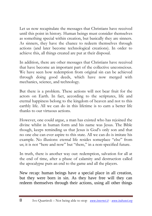Let us now recapitulate the messages that Christians have received until this point in history. Human beings must consider themselves as something special within creation, but basically they are sinners. As sinners, they have the chance to redeem themselves through actions (and later become technological creations). In order to achieve this, all things created are put at their disposal.

In addition, there are other messages that Christians have received that have become an important part of the collective unconscious. We have seen how redemption from original sin can be achieved through doing good deeds, which have now merged with mechanics, science, and technology.

But there is a problem. These actions will not bear fruit for the actors on Earth. In fact, according to the scriptures, life and eternal happiness belong to the kingdom of heaven and not to this earthly life. All we can do in this lifetime is to earn a better life thanks to our virtuous actions.

However, one could argue, a man has existed who has rejoined the divine whilst in human form and his name was Jesus. The Bible though, keeps reminding us that Jesus is God's only son and that no one else can ever aspire to this state. All we can do is imitate his example. No illusions: eternal life resides someplace "else" from us; it is not "here and now" but "there," in a non-specified future.

In truth, there is another way out: redemption, salvation for all at the end of time, after a phase of calamity and destruction called the apocalypse puts an end to the game and all the players.

New recap: human beings have a special place in all creation, but they were born in sin. As they have free will they can redeem themselves through their actions, using all other things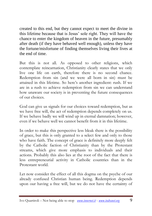created to this end, but they cannot expect to meet the divine in this lifetime because that is Jesus' sole right. They will have the chance to enter the kingdom of heaven in the future, presumably after death (if they have behaved well enough), unless they have the fortune/misfortune of finding themselves living their lives at the end of time.

But this is not all. As opposed to other religions, which contemplate reincarnation, Christianity clearly states that we only live one life on earth, therefore there is no second chance. Redemption from sin (and we were all born in sin) must be attained in this lifetime. So here's another ingredient: rush. If we are in a rush to achieve redemption from sin we can understand how unaware our society is in preventing the future consequences of our choices.

God can give us signals for our choices toward redemption, but as we have free will, the act of redemption depends completely on us. If we behave badly we will wind up in eternal damnation; however, even if we behave well we cannot benefit from it in this lifetime.

In order to make this perspective less bleak there is the possibility of grace, but this is only granted to a select few and only to those who have faith. The concept of grace is definitely more deeply felt by the Catholic faction of Christianity than by the Protestant streams, which give more emphasis to individuals and their actions. Probably this also lies at the root of the fact that there is less entrepreneurial activity in Catholic countries than in the Protestant world.

Let now consider the effect of all this dogma on the psyche of our already confused Christian human being. Redemption depends upon our having a free will, but we do not have the certainty of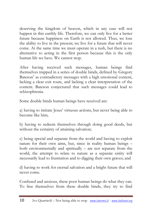deserving the kingdom of heaven, which in any case will not happen in this earthly life. Therefore, we can only live for a better future because happiness on Earth is not allowed. Thus, we lose the ability to live in the present; we live for a future that will never come. At the same time we must operate in a rush, but there is no alternative to acting in the first person because this is the only human life we have. We cannot stop.

After having received such messages, human beings find themselves trapped in a series of double binds, defined by Gregory Bateson<sup>5</sup> as contradictory messages with a high emotional content, lacking a clear exit route, and lacking a clear interpretation of the content. Bateson conjectured that such messages could lead to schizophrenia.

Some double binds human beings have received are:

a) having to imitate Jesus' virtuous actions, but never being able to become like him;

b) having to redeem themselves through doing good deeds, but without the certainty of attaining salvation;

c) being special and separate from the world and having to exploit nature for their own aims, but, since in reality human beings – both environmentally and spiritually – are not separate from the world, the attempt to relate to nature as a separate entity will necessarily lead to frustration and to digging their own graves; and

d) having to work for eternal salvation and a bright future that will never come.

Confused and anxious, these poor human beings do what they can. To free themselves from these double binds, they try to find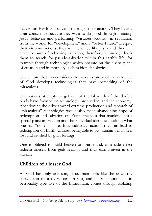heaven on Earth and salvation through their actions. They have a clear conscience because they want to do good through imitating Jesus' behavior and performing "virtuous actions," in separation from the world, for "development" and a "better future." Despite their virtuous actions, they will never be like Jesus and they will never be sure of achieving salvation, therefore, technology leads them to search for pseudo-salvation within this earthly life, for example through technologies which operate on the divine plane of creation and immortality such as biotechnologies.

The culture that has considered miracles as proof of the existence of God develops technologies that have something of the miraculous.

The various attempts to get out of the labyrinth of the double binds have focused on technology, production, and the economy. Abandoning the drive toward extreme production and research of "miraculous" technologies would also mean abandoning hope of redemption and salvation on Earth, the idea that mankind has a special place in creation and the individual identities built on what one has "done" in life. It is individual actions that can lead to redemption on Earth; without being able to act, human beings feel lost and crushed by guilt feelings.

One is obliged to build heaven on Earth and, as a side effect redeem oneself from guilt feelings and thus earn heaven in the afterlife.

## **Children of a lesser God**

As God has only one son, Jesus, man feels like the unworthy pseudo-son (moreover, born in sin), and his redemption, as in personality type five of the Enneagram, comes through isolating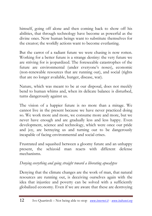himself, going off alone and then coming back to show off his abilities, that through technology have become as powerful as the divine ones. Now human beings want to substitute themselves for the creator; the worldly actions want to become everlasting.

But the carrot of a radiant future we were chasing is now rotten. Working for a better future is a strange destiny: the very future we are striving for is jeopardized. The foreseeable catastrophes of the future are environmental (under everyone's noses), economic (non-renewable resources that are running out), and social (rights that are no longer available, hunger, disease, war).

Nature, which was meant to be at our disposal, does not meekly bend to human whims and, when its delicate balance is disturbed, turns dangerously against us.

The vision of a happier future is no more than a mirage. We cannot live in the present because we have never practiced doing so. We work more and more, we consume more and more, but we never have enough and are gradually less and less happy. Even development, science and technology, which were once our pride and joy, are betraying us and turning out to be dangerously incapable of facing environmental and social crises.

Frustrated and squashed between a gloomy future and an unhappy present, the schizoid man reacts with different defense mechanisms.

#### *Denying everything and going straight toward a liberating apocalypse*

Denying that the climate changes are the work of man, that natural resources are running out, is deceiving ourselves again with the idea that injustice and poverty can be solved with a sufficiently globalized economy. Even if we are aware that these are destroying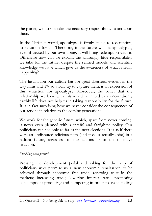the planet, we do not take the necessary responsibility to act upon them.

In the Christian world, apocalypse is firmly linked to redemption, to salvation for all. Therefore, if the future will be apocalyptic, even if caused by our own doing, it will bring redemption with it. Otherwise how can we explain the amazingly little responsibility we take for the future, despite the refined models and scientific knowledge we have which give us the awareness of what is really happening?

The fascination our culture has for great disasters, evident in the way films and TV so avidly try to capture them, is an expression of this attraction for apocalypse. Moreover, the belief that the relationship we have with this world is limited to a one-and-only earthly life does not help us in taking responsibility for the future. It is in fact surprising how we never consider the consequences of our actions in relation to the coming generations.

We work for the generic future, which, apart from never coming, is never even planned with a careful and farsighted policy. Our politicians can see only as far as the next elections. It is as if there were an undisputed religious faith (and it does actually exist) in a radiant future, regardless of our actions or of the objective situation.

#### *Sticking with growth*

Pressing the development pedal and asking for the help of politicians who promise us a new economic renaissance to be achieved through economic free trade; renewing trust in the markets; increasing trade; lowering interest rates; promoting consumption; producing and competing in order to avoid feeling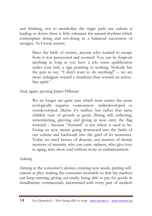and thinking, not to metabolize the tragic path our culture is leading us down: there is little tolerance for natural rhythms which contemplate doing and not-doing in a balanced succession of energies. As Cioran asserts:

> Since the birth of society, anyone who wanted to escape from it was persecuted and scorned. You can be forgiven anything as long as you have a job, some qualification under your belt, a sign pointing to nothing. Nobody has the guts to say: "I don't want to do anything!" – we are more indulgent toward a murderer than toward an actionfree spirit.<sup>6</sup>

And, again, quoting James Hillman:

We no longer are quite sure which term carries the more ecologically negative connotation: underdeveloped or overdeveloped. Maybe it's neither, but rather that same childish view of growth as good....Sitting still, reflecting, remembering, grieving and giving in now carry the flag forward – because "forward" is not where it used to be. Going on now means going downward into the faults of our culture and backward into the grief of its memories. Today we need heroes of descent, not masters of denial, mentors of maturity who can carry sadness, who give love to aging, who show soul without irony or embarrassment.<sup>7</sup>

#### *Seducing*

Aiming at the consumer's desires, creating new needs, putting selfesteem at play, making the consumer insatiable so that the markets can keep running, giving out credit, being able to pay for goods in installments: commercials, intertwined with every part of modern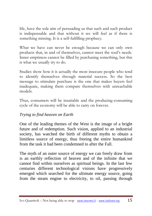life, have the sole aim of persuading us that such and such product is indispensable and that without it we will feel as if there is something missing. It is a self-fulfilling prophecy.

What we have can never be enough because we can only own products that, in and of themselves, cannot meet the soul's needs. Inner emptiness cannot be filled by purchasing something, but this is what we usually try to do.

Studies show how it is actually the most insecure people who tend to identify themselves through material success. So the best message to stimulate purchase is the one that makes buyers feel inadequate, making them compare themselves with unreachable models.

Thus, consumers will be insatiable and the producing-consuming cycle of the economy will be able to carry on forever.

#### *Trying to find heaven on Earth*

One of the leading themes of the West is the image of a bright future and of redemption. Such vision, applied to an industrial society, has watched the birth of different myths to obtain a limitless source of energy, thus freeing the entire humankind from the task it had been condemned to after the Fall.

The myth of an outer source of energy we can freely draw from is an earthly reflection of heaven and of the infinite that we cannot find within ourselves as spiritual beings. In the last few centuries different technological visions have progressively emerged which searched for the ultimate energy source, going from the steam engine to electricity, to oil, passing through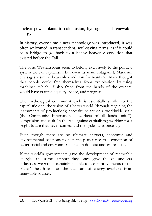nuclear power plants to cold fusion, hydrogen, and renewable energy.

In history, every time a new technology was introduced, it was often welcomed in transcendent, soul-saving terms, as if it could be a bridge to go back to a happy heavenly condition that existed before the Fall.

The basic Western ideas seem to belong exclusively to the political system we call capitalism, but even its main antagonist, Marxism, envisages a similar heavenly condition for mankind. Marx thought that people could free themselves from exploitation by using machines, which, if also freed from the hands of the owners, would have granted equality, peace, and progress.

The mythological communist cycle is essentially similar to the capitalistic one: the vision of a better world (through regaining the instruments of production); necessity to act on a worldwide scale (the Communist International "workers of all lands unite"); compulsion and rush (in the race against capitalism); working for a bright future that never comes, and the cycle starts once again.

Even though there are no ultimate answers, economic and environmental solutions to help the planet rise to a condition of better social and environmental health do exist and are realistic.

If the world's governments gave the development of renewable energies the same support they once gave the oil and car industries, we would certainly be able to see improvements of the planet's health and on the quantum of energy available from renewable sources.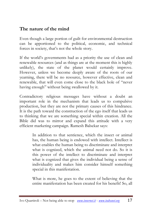# **The nature of the mind**

Even though a large portion of guilt for environmental destruction can be apportioned to the political, economic, and technical forces in society, that's not the whole story.

If the world's governments had as a priority the use of clean and renewable resources (and as things are at the moment this is highly unlikely), the state of the planet would certainly improve. However, unless we become deeply aware of the roots of our yearning, there will be no resource, however effective, clean and renewable, that will even come close to the black hole of "never having enough" without being swallowed by it.

Contradictory religious messages have without a doubt an important role in the mechanism that leads us to compulsive production, but they are not the primary causes of this hindrance. It is the path toward the construction of the ego itself that leads us to thinking that we are something special within creation. All the Bible did was to mirror and expand this attitude with a very efficient marketing campaign. Ramesh Balsekar says:

> In addition to that sentience, which the insect or animal has, the human being is endowed with intellect. Intellect is what enables the human being to discriminate and interpret what is cognized, which the animal need not do. So it is this power of the intellect to discriminate and interpret what is cognized that gives the individual being a sense of individuality and makes him consider himself something special in this manifestation.

> What is more, he goes to the extent of believing that the entire manifestation has been created for his benefit! So, all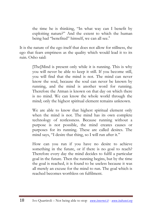the time he is thinking, "In what way can I benefit by exploiting nature?" And the extent to which the human being had "benefited" himself, we can all see.<sup>8</sup>

It is the nature of the ego itself that does not allow for stillness, the ego that fears emptiness as the quality which would lead it to its ruin. Osho said:

> [The]Mind is present only while it is running. This is why you will never be able to keep it still. If you become still, you will find that the mind is not. The mind can never know the soul, because the soul can never be known by running, and the mind is another word for running. Therefore the Atman is known on that day on which there is no mind. We can know the whole world through the mind; only the highest spiritual element remains unknown.

> We are able to know that highest spiritual element only when the mind is not. The mind has its own complete technology of restlessness. Because running without a purpose is not possible, the mind creates causes or purposes for its running. These are called desires. The mind says, "I desire that thing, so I will run after it."

> How can you run if you have no desire to achieve something in the future, or if there is no goal to reach? Therefore every day the mind decides to fulfil a particular goal in the future. Then the running begins, but by the time the goal is reached, it is found to be useless because it was all merely an excuse for the mind to run. The goal which is reached becomes worthless on fulfilment.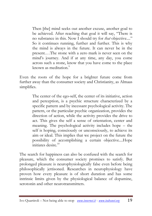Then [the] mind seeks out another excuse, another goal to be achieved. After reaching that goal it will say, "There is no substance in this. Now I should try for *that* objective...." So it continues running, further and further. This is why the mind is always in the future. It can never be in the present.…The stone with a zero mark is never seen on the mind's journey. And if at any time, any day, you come across such a stone, know that you have come to the place known as meditation. $\degree$ 

Even the roots of the hope for a brighter future come from further away than the consumer society and Christianity, as Almaas simplifies.

> The center of the ego-self, the center of its initiative, action and perception, is a psychic structure characterized by a specific pattern and by incessant psychological activity. The pattern, or the particular psychic organization, provides the direction of action, while the activity provides the drive to act. This gives the self a sense of orientation, center and meaning. The psychological activity includes hope – the self is hoping, consciously or unconsciously, to achieve its aim or ideal. This implies that we project on the future the possibility of accomplishing a certain objective....Hope initiates desire<sup>10</sup>

The search for happiness can also be confused with the search for pleasure, which the consumer society promises to satisfy. But prolonged pleasure is neurophysiologically false even before being philosophically jettisoned. Researches in neurophysiology have proven how every pleasure is of short duration and has some intrinsic limits given by the physiological balance of dopamine, serotonin and other neurotransmitters.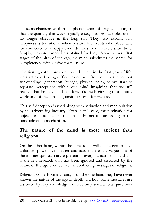These mechanisms explain the phenomenon of drug addiction, so that the quantity that was originally enough to produce pleasure is no longer effective in the long run. They also explain why happiness is transitional when positive life events take place. The joy connected to a happy event declines in a relatively short time. Simply, pleasure cannot be sustained for long. From the very first stages of the birth of the ego, the mind substitutes the search for completeness with a drive for pleasure.

The first ego structures are created when, in the first year of life, we start experiencing difficulties or pain from our mother or our surroundings (separation, hunger, physical pain), so we start to separate perceptions within our mind imagining that we still receive that lost love and comfort. It's the beginning of a fantasy world and of the constant, anxious search for welfare.

This self-deception is used along with seduction and manipulation by the advertising industry. Even in this case, the fascination for objects and products must constantly increase according to the same addiction mechanism.

## **The nature of the mind is more ancient than religions**

On the other hand, within the narcissistic will of the ego to have unlimited power over matter and nature there is a vague hint of the infinite spiritual nature present in every human being, and this is the real research that has been ignored and distorted by the nature of the ego even before the conflicting messages of religions.

Religions come from afar and, if on the one hand they have never known the nature of the ego in depth and how some messages are distorted by it (a knowledge we have only started to acquire over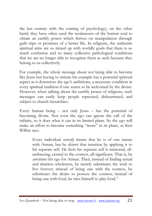the last century with the coming of psychology), on the other hand, they have often used the weaknesses of the human soul to obtain an earthly power which thrives on manipulation through guilt trips or promises of a better life. In religions, the authentic spiritual aims are so mixed up with worldly goals that there is so much confusion and so many collective pathological conditions that we are no longer able to recognize them as such because they belong to us collectively.

For example, the whole message about not being able to become like Jesus but having to imitate his example has a potential spiritual aspect as it downsizes the ego's ambitions, a necessary condition in every spiritual tradition if one wants to be welcomed by the divine. However, when talking about the earthly power of religions, such messages can easily keep people repressed, disheartened, and subject to church hierarchies.

Every human being – not only Jesus – has the potential of becoming divine. Not even the ego can ignore the call of the infinite, so it does what it can in its limited plane. So the ego will make an effort to become something "more" in its plane, as Ken Wilber says.

> Every individual *correctly* intuits that he is of one nature with Atman, but he *distorts* that intuition by applying it to his separate self. He feels his separate self is immortal, allembracing, central to the cosmos, all-significant. That is, he *substitutes* his ego for Atman. Then, instead of finding actual and timeless wholeness, he merely substitutes the wish to live forever; instead of being one with the cosmos, he substitutes the desire to possess the cosmos; instead of being one with God, he tries himself to play God.<sup>11</sup>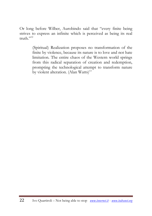Or long before Wilber, Aurobindo said that "every finite being strives to express an infinite which is perceived as being its real  $t$ ruth $"$ <sup>12</sup>

> (Spiritual) Realization proposes no transformation of the finite by violence, because its nature is to love and not hate limitation. The entire chaos of the Western world springs from this radical separation of creation and redemption, prompting the technological attempt to transform nature by violent alteration. (Alan Watts)<sup>13</sup>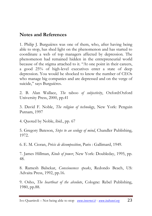## **Notes and References**

1. Philip J. Burguières was one of them, who, after having being able to stop, has shed light on the phenomenon and has started to coordinate a web of top managers affected by depression. The phenomenon had remained hidden in the entrepreneurial world because of the stigma attached to it. "At one point in their careers, a good 25% of high-level executives enter a state of deep depression. You would be shocked to know the number of CEOs who manage big companies and are depressed and on the verge of suicide," says Burguières.

2. B. Alan Wallace, *The* taboo *of subjectivity*, Oxford:Oxford University Press, 2000, pp.41

3. David F. Noble, *The religion of technology*, New York: Penguin Putnam, 1997

4. Quoted by Noble, ibid., pp. 67

5. Gregory Bateson, *Steps to an ecology of mind*, Chandler Publishing, 1972.

6. E. M. Cioran, *Précis de décomposition*, Paris : Gallimard, 1949.

7. James Hillman, *Kinds of power*, New York: Doubleday, 1995, pp. 48.

8. Ramesh Balsekar, *Consciousness speaks*, Redondo Beach, US: Advaita Press, 1992, pp.16.

9. Osho, *The heartbeat of the absolute*, Cologne: Rebel Publishing, 1980, pp.88.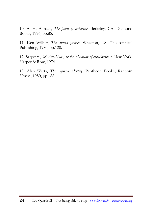10. A. H. Almaas, *The point of existence*, Berkeley, CA: Diamond Books, 1996, pp.85.

11. Ken Wilber, *The atman project*, Wheaton, US: Theosophical Publishing, 1980, pp.120.

12. Satprem, *Sri Aurobindo, or the adventure of consciousness*, New York: Harper & Row, 1974

13. Alan Watts, *The supreme identity*, Pantheon Books, Random House, 1950, pp.188.